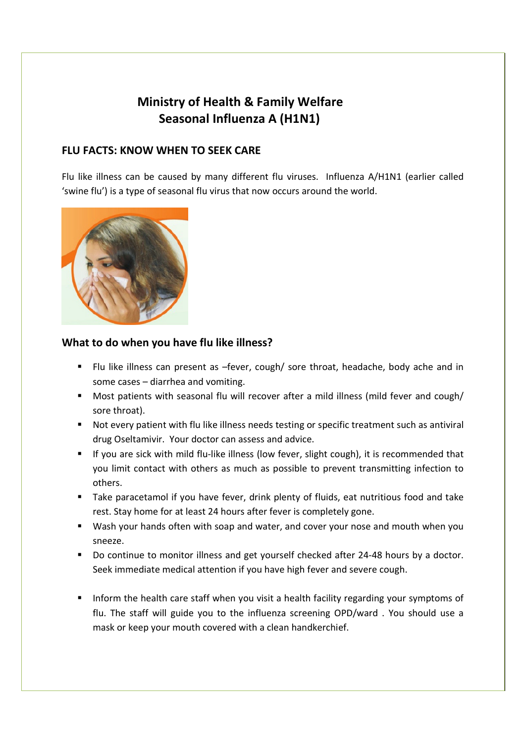# Ministry of Health & Family Welfare Seasonal Influenza A (H1N1)

#### FLU FACTS: KNOW WHEN TO SEEK CARE

Flu like illness can be caused by many different flu viruses. Influenza A/H1N1 (earlier called 'swine flu') is a type of seasonal flu virus that now occurs around the world.



## What to do when you have flu like illness?

- Flu like illness can present as –fever, cough/ sore throat, headache, body ache and in some cases – diarrhea and vomiting.
- Most patients with seasonal flu will recover after a mild illness (mild fever and cough/ sore throat).
- Not every patient with flu like illness needs testing or specific treatment such as antiviral drug Oseltamivir. Your doctor can assess and advice.
- If you are sick with mild flu-like illness (low fever, slight cough), it is recommended that you limit contact with others as much as possible to prevent transmitting infection to others.
- Take paracetamol if you have fever, drink plenty of fluids, eat nutritious food and take rest. Stay home for at least 24 hours after fever is completely gone.
- Wash your hands often with soap and water, and cover your nose and mouth when you sneeze.
- Do continue to monitor illness and get yourself checked after 24-48 hours by a doctor. Seek immediate medical attention if you have high fever and severe cough.
- Inform the health care staff when you visit a health facility regarding your symptoms of flu. The staff will guide you to the influenza screening OPD/ward . You should use a mask or keep your mouth covered with a clean handkerchief.